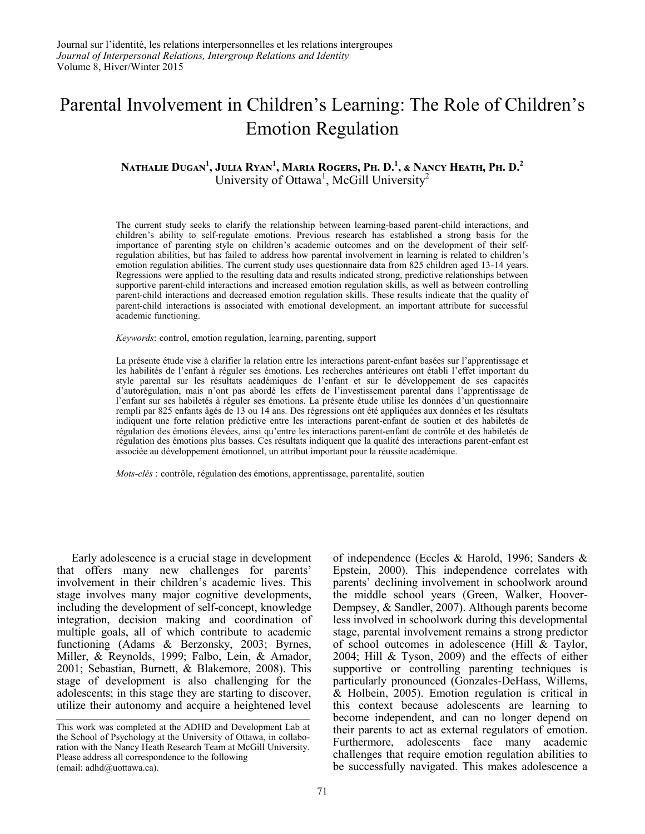# Parental Involvement in Children's Learning: The Role of Children's Emotion Regulation

# **Nathalie Dugan1 , Julia Ryan<sup>1</sup> , Maria Rogers, Ph. D.<sup>1</sup> , & Nancy Heath, Ph. D.<sup>2</sup>** University of Ottawa<sup>1</sup>, McGill University<sup>2</sup>

The current study seeks to clarify the relationship between learning-based parent-child interactions, and children's ability to self-regulate emotions. Previous research has established a strong basis for the importance of parenting style on children's academic outcomes and on the development of their selfregulation abilities, but has failed to address how parental involvement in learning is related to children's emotion regulation abilities. The current study uses questionnaire data from 825 children aged 13-14 years. Regressions were applied to the resulting data and results indicated strong, predictive relationships between supportive parent-child interactions and increased emotion regulation skills, as well as between controlling parent-child interactions and decreased emotion regulation skills. These results indicate that the quality of parent-child interactions is associated with emotional development, an important attribute for successful academic functioning.

*Keywords*: control, emotion regulation, learning, parenting, support

La présente étude vise à clarifier la relation entre les interactions parent-enfant basées sur l'apprentissage et les habilités de l'enfant à réguler ses émotions. Les recherches antérieures ont établi l'effet important du style parental sur les résultats académiques de l'enfant et sur le développement de ses capacités d'autorégulation, mais n'ont pas abordé les effets de l'investissement parental dans l'apprentissage de l'enfant sur ses habiletés à réguler ses émotions. La présente étude utilise les données d'un questionnaire rempli par 825 enfants âgés de 13 ou 14 ans. Des régressions ont été appliquées aux données et les résultats indiquent une forte relation prédictive entre les interactions parent-enfant de soutien et des habiletés de régulation des émotions élevées, ainsi qu'entre les interactions parent-enfant de contrôle et des habiletés de régulation des émotions plus basses. Ces résultats indiquent que la qualité des interactions parent-enfant est associée au développement émotionnel, un attribut important pour la réussite académique.

*Mots-clés* : contrôle, régulation des émotions, apprentissage, parentalité, soutien

Early adolescence is a crucial stage in development that offers many new challenges for parents' involvement in their children's academic lives. This stage involves many major cognitive developments, including the development of self-concept, knowledge integration, decision making and coordination of multiple goals, all of which contribute to academic functioning (Adams & Berzonsky, 2003; Byrnes, Miller, & Reynolds, 1999; Falbo, Lein, & Amador, 2001; Sebastian, Burnett, & Blakemore, 2008). This stage of development is also challenging for the adolescents; in this stage they are starting to discover, utilize their autonomy and acquire a heightened level of independence (Eccles & Harold, 1996; Sanders & Epstein, 2000). This independence correlates with parents' declining involvement in schoolwork around the middle school years (Green, Walker, Hoover-Dempsey, & Sandler, 2007). Although parents become less involved in schoolwork during this developmental stage, parental involvement remains a strong predictor of school outcomes in adolescence (Hill  $\&$  Taylor, 2004; Hill & Tyson, 2009) and the effects of either supportive or controlling parenting techniques is particularly pronounced (Gonzales-DeHass, Willems, & Holbein, 2005). Emotion regulation is critical in this context because adolescents are learning to become independent, and can no longer depend on their parents to act as external regulators of emotion. Furthermore, adolescents face many academic challenges that require emotion regulation abilities to be successfully navigated. This makes adolescence a

This work was completed at the ADHD and Development Lab at the School of Psychology at the University of Ottawa, in collaboration with the Nancy Heath Research Team at McGill University. Please address all correspondence to the following (email: adhd@uottawa.ca).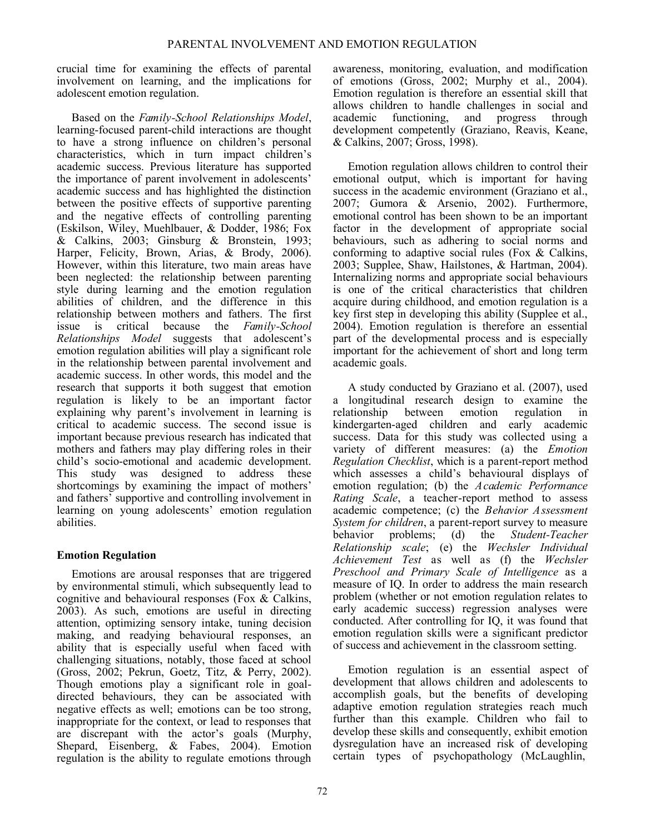crucial time for examining the effects of parental involvement on learning, and the implications for adolescent emotion regulation.

Based on the *Family-School Relationships Model*, learning-focused parent-child interactions are thought to have a strong influence on children's personal characteristics, which in turn impact children's academic success. Previous literature has supported the importance of parent involvement in adolescents' academic success and has highlighted the distinction between the positive effects of supportive parenting and the negative effects of controlling parenting (Eskilson, Wiley, Muehlbauer, & Dodder, 1986; Fox & Calkins, 2003; Ginsburg & Bronstein, 1993; Harper, Felicity, Brown, Arias, & Brody, 2006). However, within this literature, two main areas have been neglected: the relationship between parenting style during learning and the emotion regulation abilities of children, and the difference in this relationship between mothers and fathers. The first issue is critical because the *Family-School Relationships Model* suggests that adolescent's emotion regulation abilities will play a significant role in the relationship between parental involvement and academic success. In other words, this model and the research that supports it both suggest that emotion regulation is likely to be an important factor explaining why parent's involvement in learning is critical to academic success. The second issue is important because previous research has indicated that mothers and fathers may play differing roles in their child's socio-emotional and academic development. This study was designed to address these shortcomings by examining the impact of mothers' and fathers' supportive and controlling involvement in learning on young adolescents' emotion regulation abilities.

# **Emotion Regulation**

Emotions are arousal responses that are triggered by environmental stimuli, which subsequently lead to cognitive and behavioural responses (Fox & Calkins, 2003). As such, emotions are useful in directing attention, optimizing sensory intake, tuning decision making, and readying behavioural responses, an ability that is especially useful when faced with challenging situations, notably, those faced at school (Gross, 2002; Pekrun, Goetz, Titz, & Perry, 2002). Though emotions play a significant role in goaldirected behaviours, they can be associated with negative effects as well; emotions can be too strong, inappropriate for the context, or lead to responses that are discrepant with the actor's goals (Murphy, Shepard, Eisenberg, & Fabes, 2004). Emotion regulation is the ability to regulate emotions through awareness, monitoring, evaluation, and modification of emotions (Gross, 2002; Murphy et al., 2004). Emotion regulation is therefore an essential skill that allows children to handle challenges in social and academic functioning, and progress through development competently (Graziano, Reavis, Keane, & Calkins, 2007; Gross, 1998).

Emotion regulation allows children to control their emotional output, which is important for having success in the academic environment (Graziano et al., 2007; Gumora & Arsenio, 2002). Furthermore, emotional control has been shown to be an important factor in the development of appropriate social behaviours, such as adhering to social norms and conforming to adaptive social rules (Fox & Calkins, 2003; Supplee, Shaw, Hailstones, & Hartman, 2004). Internalizing norms and appropriate social behaviours is one of the critical characteristics that children acquire during childhood, and emotion regulation is a key first step in developing this ability (Supplee et al., 2004). Emotion regulation is therefore an essential part of the developmental process and is especially important for the achievement of short and long term academic goals.

A study conducted by Graziano et al. (2007), used a longitudinal research design to examine the relationship between emotion regulation in kindergarten-aged children and early academic success. Data for this study was collected using a variety of different measures: (a) the *Emotion Regulation Checklist*, which is a parent-report method which assesses a child's behavioural displays of emotion regulation; (b) the *Academic Performance Rating Scale*, a teacher-report method to assess academic competence; (c) the *Behavior Assessment System for children*, a parent-report survey to measure behavior problems; (d) the *Student-Teacher Relationship scale*; (e) the *Wechsler Individual Achievement Test* as well as (f) the *Wechsler Preschool and Primary Scale of Intelligence* as a measure of IQ. In order to address the main research problem (whether or not emotion regulation relates to early academic success) regression analyses were conducted. After controlling for IQ, it was found that emotion regulation skills were a significant predictor of success and achievement in the classroom setting.

Emotion regulation is an essential aspect of development that allows children and adolescents to accomplish goals, but the benefits of developing adaptive emotion regulation strategies reach much further than this example. Children who fail to develop these skills and consequently, exhibit emotion dysregulation have an increased risk of developing certain types of psychopathology (McLaughlin,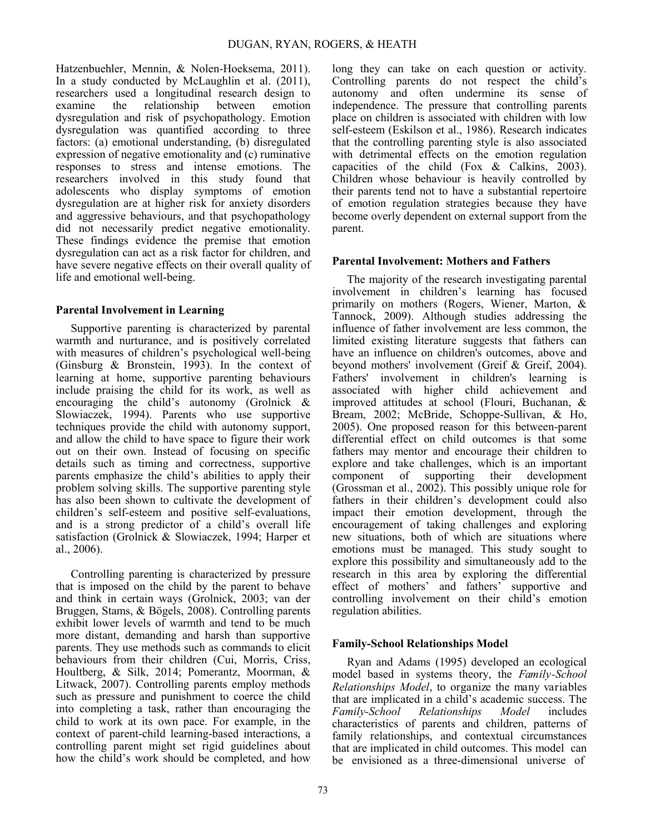Hatzenbuehler, Mennin, & Nolen-Hoeksema, 2011). In a study conducted by McLaughlin et al. (2011), researchers used a longitudinal research design to examine the relationship between emotion dysregulation and risk of psychopathology. Emotion dysregulation was quantified according to three factors: (a) emotional understanding, (b) disregulated expression of negative emotionality and (c) ruminative responses to stress and intense emotions. The researchers involved in this study found that adolescents who display symptoms of emotion dysregulation are at higher risk for anxiety disorders and aggressive behaviours, and that psychopathology did not necessarily predict negative emotionality. These findings evidence the premise that emotion dysregulation can act as a risk factor for children, and have severe negative effects on their overall quality of life and emotional well-being.

# **Parental Involvement in Learning**

Supportive parenting is characterized by parental warmth and nurturance, and is positively correlated with measures of children's psychological well-being (Ginsburg  $\&$  Bronstein, 1993). In the context of learning at home, supportive parenting behaviours include praising the child for its work, as well as encouraging the child's autonomy (Grolnick & Slowiaczek, 1994). Parents who use supportive techniques provide the child with autonomy support, and allow the child to have space to figure their work out on their own. Instead of focusing on specific details such as timing and correctness, supportive parents emphasize the child's abilities to apply their problem solving skills. The supportive parenting style has also been shown to cultivate the development of children's self-esteem and positive self-evaluations, and is a strong predictor of a child's overall life satisfaction (Grolnick & Slowiaczek, 1994; Harper et al., 2006).

Controlling parenting is characterized by pressure that is imposed on the child by the parent to behave and think in certain ways (Grolnick, 2003; van der Bruggen, Stams, & Bögels, 2008). Controlling parents exhibit lower levels of warmth and tend to be much more distant, demanding and harsh than supportive parents. They use methods such as commands to elicit behaviours from their children (Cui, Morris, Criss, Houltberg, & Silk, 2014; Pomerantz, Moorman, & Litwack, 2007). Controlling parents employ methods such as pressure and punishment to coerce the child into completing a task, rather than encouraging the child to work at its own pace. For example, in the context of parent-child learning-based interactions, a controlling parent might set rigid guidelines about how the child's work should be completed, and how

long they can take on each question or activity. Controlling parents do not respect the child's autonomy and often undermine its sense of independence. The pressure that controlling parents place on children is associated with children with low self-esteem (Eskilson et al., 1986). Research indicates that the controlling parenting style is also associated with detrimental effects on the emotion regulation capacities of the child (Fox & Calkins, 2003). Children whose behaviour is heavily controlled by their parents tend not to have a substantial repertoire of emotion regulation strategies because they have become overly dependent on external support from the parent.

## **Parental Involvement: Mothers and Fathers**

The majority of the research investigating parental involvement in children's learning has focused primarily on mothers (Rogers, Wiener, Marton, & Tannock, 2009). Although studies addressing the influence of father involvement are less common, the limited existing literature suggests that fathers can have an influence on children's outcomes, above and beyond mothers' involvement (Greif & Greif, 2004). Fathers' involvement in children's learning is associated with higher child achievement and improved attitudes at school (Flouri, Buchanan, & Bream, 2002; McBride, Schoppe-Sullivan, & Ho, 2005). One proposed reason for this between-parent differential effect on child outcomes is that some fathers may mentor and encourage their children to explore and take challenges, which is an important component of supporting their development (Grossman et al.,  $200\overline{2}$ ). This possibly unique role for fathers in their children's development could also impact their emotion development, through the encouragement of taking challenges and exploring new situations, both of which are situations where emotions must be managed. This study sought to explore this possibility and simultaneously add to the research in this area by exploring the differential effect of mothers' and fathers' supportive and controlling involvement on their child's emotion regulation abilities.

## **Family-School Relationships Model**

Ryan and Adams (1995) developed an ecological model based in systems theory, the *Family-School Relationships Model*, to organize the many variables that are implicated in a child's academic success. The *Family-School Relationships Model* includes characteristics of parents and children, patterns of family relationships, and contextual circumstances that are implicated in child outcomes. This model can be envisioned as a three-dimensional universe of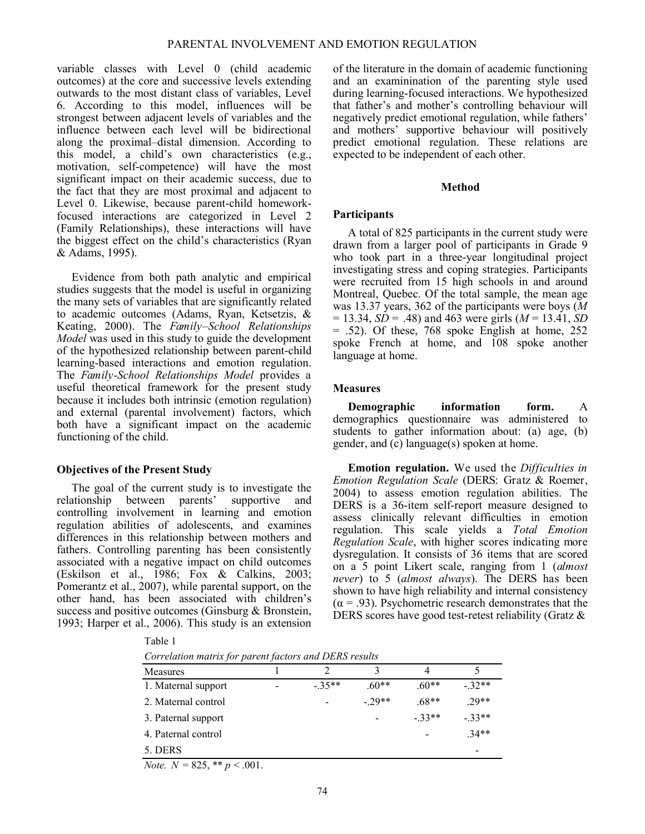variable classes with Level 0 (child academic outcomes) at the core and successive levels extending outwards to the most distant class of variables, Level 6. According to this model, influences will be strongest between adjacent levels of variables and the influence between each level will be bidirectional along the proximal–distal dimension. According to this model, a child's own characteristics (e.g., motivation, self-competence) will have the most significant impact on their academic success, due to the fact that they are most proximal and adjacent to Level 0. Likewise, because parent-child homeworkfocused interactions are categorized in Level 2 (Family Relationships), these interactions will have the biggest effect on the child's characteristics (Ryan & Adams, 1995).

Evidence from both path analytic and empirical studies suggests that the model is useful in organizing the many sets of variables that are significantly related to academic outcomes (Adams, Ryan, Ketsetzis, & Keating, 2000). The *Family–School Relationships Model* was used in this study to guide the development of the hypothesized relationship between parent-child learning-based interactions and emotion regulation. The *Family-School Relationships Model* provides a useful theoretical framework for the present study because it includes both intrinsic (emotion regulation) and external (parental involvement) factors, which both have a significant impact on the academic functioning of the child.

## **Objectives of the Present Study**

The goal of the current study is to investigate the relationship between parents' supportive and controlling involvement in learning and emotion regulation abilities of adolescents, and examines differences in this relationship between mothers and fathers. Controlling parenting has been consistently associated with a negative impact on child outcomes (Eskilson et al., 1986; Fox & Calkins, 2003; Pomerantz et al., 2007), while parental support, on the other hand, has been associated with children's success and positive outcomes (Ginsburg & Bronstein, 1993; Harper et al., 2006). This study is an extension of the literature in the domain of academic functioning and an examinination of the parenting style used during learning-focused interactions. We hypothesized that father's and mother's controlling behaviour will negatively predict emotional regulation, while fathers' and mothers' supportive behaviour will positively predict emotional regulation. These relations are expected to be independent of each other.

#### **Method**

## **Participants**

A total of 825 participants in the current study were drawn from a larger pool of participants in Grade 9 who took part in a three-year longitudinal project investigating stress and coping strategies. Participants were recruited from 15 high schools in and around Montreal, Quebec. Of the total sample, the mean age was 13.37 years, 362 of the participants were boys (*M*  $= 13.34$ , *SD* = .48) and 463 were girls (*M* = 13.41, *SD* = .52). Of these, 768 spoke English at home, 252 spoke French at home, and 108 spoke another language at home.

#### **Measures**

**Demographic information form.** A demographics questionnaire was administered to students to gather information about: (a) age, (b) gender, and (c) language(s) spoken at home.

**Emotion regulation.** We used the *Difficulties in Emotion Regulation Scale* (DERS: Gratz & Roemer, 2004) to assess emotion regulation abilities. The DERS is a 36-item self-report measure designed to assess clinically relevant difficulties in emotion regulation. This scale yields a *Total Emotion Regulation Scale*, with higher scores indicating more dysregulation. It consists of 36 items that are scored on a 5 point Likert scale, ranging from 1 (*almost never*) to 5 (*almost always*). The DERS has been shown to have high reliability and internal consistency  $(\alpha = .93)$ . Psychometric research demonstrates that the DERS scores have good test-retest reliability (Gratz &

|--|

|  |  | Correlation matrix for parent factors and DERS results |  |  |
|--|--|--------------------------------------------------------|--|--|
|--|--|--------------------------------------------------------|--|--|

| $\cdot$                              | $\cdot$ |         |         |         |         |  |
|--------------------------------------|---------|---------|---------|---------|---------|--|
| Measures                             |         | 2       | 3       |         |         |  |
| 1. Maternal support                  |         | $-35**$ | $.60**$ | $.60**$ | $-32**$ |  |
| 2. Maternal control                  |         |         | $-29**$ | $.68**$ | $.29**$ |  |
| 3. Paternal support                  |         |         |         | $-33**$ | $-33**$ |  |
| 4. Paternal control                  |         |         |         |         | $34**$  |  |
| 5. DERS                              |         |         |         |         | $\,$    |  |
| $N_{\alpha}$ $N = 825$ ** $n < 0.01$ |         |         |         |         |         |  |

*Note.*  $N = 825$ , \*\*  $p < 0.001$ .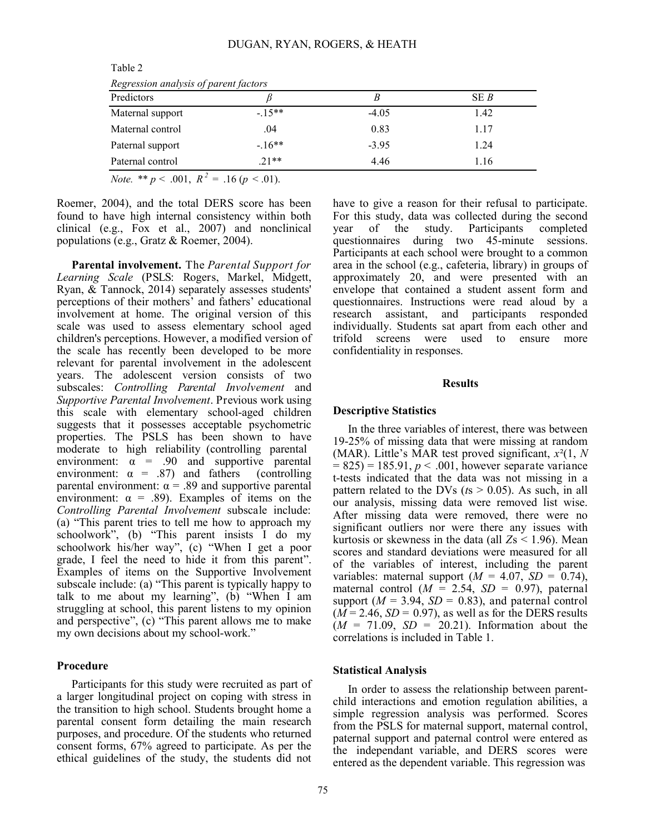| Regression analysis of parent factors |         |         |      |  |  |  |  |
|---------------------------------------|---------|---------|------|--|--|--|--|
| Predictors                            |         |         | SE B |  |  |  |  |
| Maternal support                      | $-15**$ | $-4.05$ | 1.42 |  |  |  |  |
| Maternal control                      | .04     | 0.83    | 1.17 |  |  |  |  |
| Paternal support                      | $-16**$ | $-3.95$ | 1.24 |  |  |  |  |
| Paternal control                      | $21**$  | 4.46    | 1.16 |  |  |  |  |
| $\sim$                                |         |         |      |  |  |  |  |

Table 2 *Regression analysis of parent factors*

*Note.* \*\* *p* < .001,  $R^2 = .16$  (*p* < .01).

Roemer, 2004), and the total DERS score has been found to have high internal consistency within both clinical (e.g., Fox et al., 2007) and nonclinical populations (e.g., Gratz & Roemer, 2004).

**Parental involvement.** The *Parental Support for Learning Scale* (PSLS: Rogers, Markel, Midgett, Ryan, & Tannock, 2014) separately assesses students' perceptions of their mothers' and fathers' educational involvement at home. The original version of this scale was used to assess elementary school aged children's perceptions. However, a modified version of the scale has recently been developed to be more relevant for parental involvement in the adolescent years. The adolescent version consists of two subscales: *Controlling Parental Involvement* and *Supportive Parental Involvement*. Previous work using this scale with elementary school-aged children suggests that it possesses acceptable psychometric properties. The PSLS has been shown to have moderate to high reliability (controlling parental environment:  $\alpha$  = .90 and supportive parental environment:  $\alpha$  = .87) and fathers (controlling parental environment:  $\alpha$  = .89 and supportive parental environment:  $\alpha = .89$ ). Examples of items on the *Controlling Parental Involvement* subscale include: (a) "This parent tries to tell me how to approach my schoolwork", (b) "This parent insists I do my schoolwork his/her way", (c) "When I get a poor grade, I feel the need to hide it from this parent". Examples of items on the Supportive Involvement subscale include: (a) "This parent is typically happy to talk to me about my learning",  $(b)$  "When  $\overline{1}$  am struggling at school, this parent listens to my opinion and perspective", (c) "This parent allows me to make my own decisions about my school-work."

#### **Procedure**

Participants for this study were recruited as part of a larger longitudinal project on coping with stress in the transition to high school. Students brought home a parental consent form detailing the main research purposes, and procedure. Of the students who returned consent forms, 67% agreed to participate. As per the ethical guidelines of the study, the students did not have to give a reason for their refusal to participate. For this study, data was collected during the second year of the study. Participants completed questionnaires during two 45-minute sessions. Participants at each school were brought to a common area in the school (e.g., cafeteria, library) in groups of approximately 20, and were presented with an envelope that contained a student assent form and questionnaires. Instructions were read aloud by a research assistant, and participants responded individually. Students sat apart from each other and trifold screens were used to ensure more confidentiality in responses.

#### **Results**

#### **Descriptive Statistics**

In the three variables of interest, there was between 19-25% of missing data that were missing at random (MAR). Little's MAR test proved significant, *x*²(1, *N*  $= 825$ ) = 185.91,  $p < .001$ , however separate variance t-tests indicated that the data was not missing in a pattern related to the DVs (*t*s > 0.05). As such, in all our analysis, missing data were removed list wise. After missing data were removed, there were no significant outliers nor were there any issues with kurtosis or skewness in the data (all *Z*s < 1.96). Mean scores and standard deviations were measured for all of the variables of interest, including the parent variables: maternal support  $(M = 4.07, SD = 0.74)$ , maternal control  $(M = 2.54, SD = 0.97)$ , paternal support ( $M = 3.94$ ,  $SD = 0.83$ ), and paternal control  $(M = 2.46, SD = 0.97)$ , as well as for the DERS results  $(M = 71.09, SD = 20.21)$ . Information about the correlations is included in Table 1.

#### **Statistical Analysis**

In order to assess the relationship between parentchild interactions and emotion regulation abilities, a simple regression analysis was performed. Scores from the PSLS for maternal support, maternal control, paternal support and paternal control were entered as the independant variable, and DERS scores were entered as the dependent variable. This regression was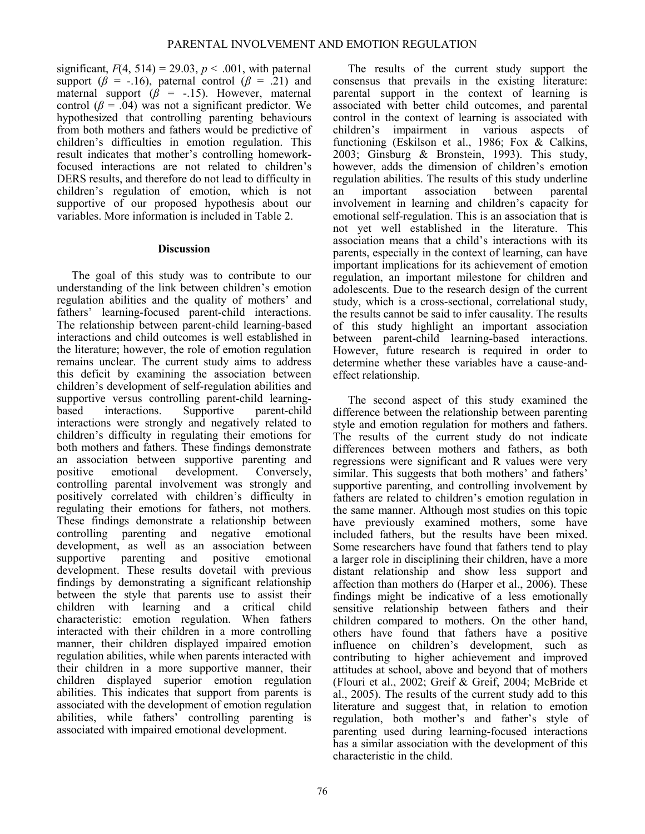significant,  $F(4, 514) = 29.03$ ,  $p < .001$ , with paternal support ( $\beta$  = -.16), paternal control ( $\beta$  = .21) and maternal support  $(\beta = -15)$ . However, maternal control  $(\beta = 0.04)$  was not a significant predictor. We hypothesized that controlling parenting behaviours from both mothers and fathers would be predictive of children's difficulties in emotion regulation. This result indicates that mother's controlling homeworkfocused interactions are not related to children's DERS results, and therefore do not lead to difficulty in children's regulation of emotion, which is not supportive of our proposed hypothesis about our variables. More information is included in Table 2.

## **Discussion**

The goal of this study was to contribute to our understanding of the link between children's emotion regulation abilities and the quality of mothers' and fathers' learning-focused parent-child interactions. The relationship between parent-child learning-based interactions and child outcomes is well established in the literature; however, the role of emotion regulation remains unclear. The current study aims to address this deficit by examining the association between children's development of self-regulation abilities and supportive versus controlling parent-child learningbased interactions. Supportive parent-child interactions were strongly and negatively related to children's difficulty in regulating their emotions for both mothers and fathers. These findings demonstrate an association between supportive parenting and positive emotional development. Conversely, controlling parental involvement was strongly and positively correlated with children's difficulty in regulating their emotions for fathers, not mothers. These findings demonstrate a relationship between controlling parenting and negative emotional development, as well as an association between supportive parenting and positive emotional development. These results dovetail with previous findings by demonstrating a significant relationship between the style that parents use to assist their children with learning and a critical child characteristic: emotion regulation. When fathers interacted with their children in a more controlling manner, their children displayed impaired emotion regulation abilities, while when parents interacted with their children in a more supportive manner, their children displayed superior emotion regulation abilities. This indicates that support from parents is associated with the development of emotion regulation abilities, while fathers' controlling parenting is associated with impaired emotional development.

The results of the current study support the consensus that prevails in the existing literature: parental support in the context of learning is associated with better child outcomes, and parental control in the context of learning is associated with children's impairment in various aspects of functioning (Eskilson et al., 1986; Fox & Calkins, 2003; Ginsburg & Bronstein, 1993). This study, however, adds the dimension of children's emotion regulation abilities. The results of this study underline an important association between parental involvement in learning and children's capacity for emotional self-regulation. This is an association that is not yet well established in the literature. This association means that a child's interactions with its parents, especially in the context of learning, can have important implications for its achievement of emotion regulation, an important milestone for children and adolescents. Due to the research design of the current study, which is a cross-sectional, correlational study, the results cannot be said to infer causality. The results of this study highlight an important association between parent-child learning-based interactions. However, future research is required in order to determine whether these variables have a cause-andeffect relationship.

The second aspect of this study examined the difference between the relationship between parenting style and emotion regulation for mothers and fathers. The results of the current study do not indicate differences between mothers and fathers, as both regressions were significant and R values were very similar. This suggests that both mothers' and fathers' supportive parenting, and controlling involvement by fathers are related to children's emotion regulation in the same manner. Although most studies on this topic have previously examined mothers, some have included fathers, but the results have been mixed. Some researchers have found that fathers tend to play a larger role in disciplining their children, have a more distant relationship and show less support and affection than mothers do (Harper et al.,  $2006$ ). These findings might be indicative of a less emotionally sensitive relationship between fathers and their children compared to mothers. On the other hand, others have found that fathers have a positive influence on children's development, such as contributing to higher achievement and improved attitudes at school, above and beyond that of mothers (Flouri et al., 2002; Greif & Greif, 2004; McBride et al., 2005). The results of the current study add to this literature and suggest that, in relation to emotion regulation, both mother's and father's style of parenting used during learning-focused interactions has a similar association with the development of this characteristic in the child.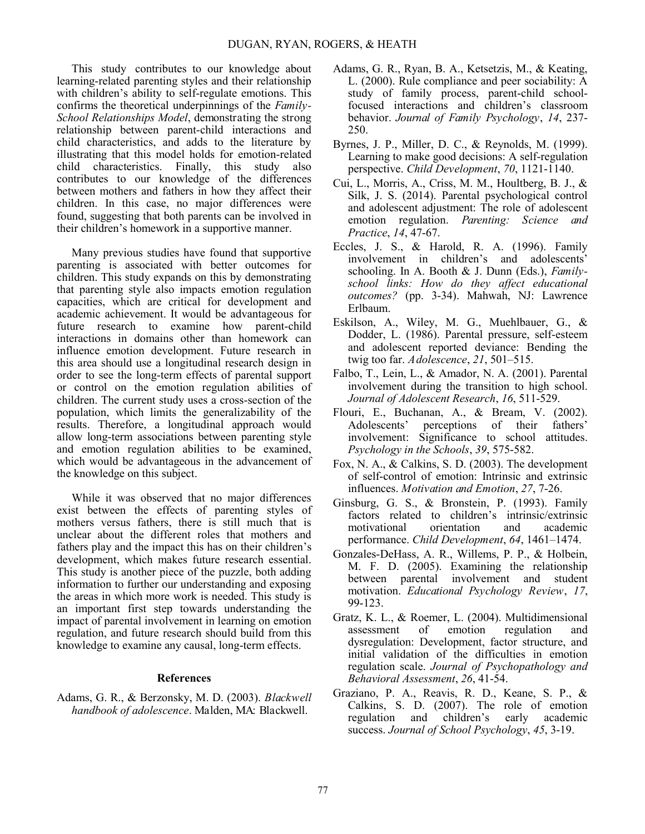This study contributes to our knowledge about learning-related parenting styles and their relationship with children's ability to self-regulate emotions. This confirms the theoretical underpinnings of the *Family-School Relationships Model*, demonstrating the strong relationship between parent-child interactions and child characteristics, and adds to the literature by illustrating that this model holds for emotion-related child characteristics. Finally, this study also contributes to our knowledge of the differences between mothers and fathers in how they affect their children. In this case, no major differences were found, suggesting that both parents can be involved in their children's homework in a supportive manner.

Many previous studies have found that supportive parenting is associated with better outcomes for children. This study expands on this by demonstrating that parenting style also impacts emotion regulation capacities, which are critical for development and academic achievement. It would be advantageous for future research to examine how parent-child interactions in domains other than homework can influence emotion development. Future research in this area should use a longitudinal research design in order to see the long-term effects of parental support or control on the emotion regulation abilities of children. The current study uses a cross-section of the population, which limits the generalizability of the results. Therefore, a longitudinal approach would allow long-term associations between parenting style and emotion regulation abilities to be examined, which would be advantageous in the advancement of the knowledge on this subject.

While it was observed that no major differences exist between the effects of parenting styles of mothers versus fathers, there is still much that is unclear about the different roles that mothers and fathers play and the impact this has on their children's development, which makes future research essential. This study is another piece of the puzzle, both adding information to further our understanding and exposing the areas in which more work is needed. This study is an important first step towards understanding the impact of parental involvement in learning on emotion regulation, and future research should build from this knowledge to examine any causal, long-term effects.

## **References**

Adams, G. R., & Berzonsky, M. D. (2003). *Blackwell handbook of adolescence*. Malden, MA: Blackwell.

- Adams, G. R., Ryan, B. A., Ketsetzis, M., & Keating, L. (2000). Rule compliance and peer sociability: A study of family process, parent-child schoolfocused interactions and children's classroom behavior. *Journal of Family Psychology*, *14*, 237- 250.
- Byrnes, J. P., Miller, D. C., & Reynolds, M. (1999). Learning to make good decisions: A self-regulation perspective. *Child Development*, *70*, 1121-1140.
- Cui, L., Morris, A., Criss, M. M., Houltberg, B. J., & Silk, J. S. (2014). Parental psychological control and adolescent adjustment: The role of adolescent emotion regulation. *Parenting: Science and Practice*, *14*, 47-67.
- Eccles, J. S., & Harold, R. A. (1996). Family involvement in children's and adolescents' schooling. In A. Booth & J. Dunn (Eds.), *Familyschool links: How do they affect educational outcomes?* (pp. 3-34). Mahwah, NJ: Lawrence Erlbaum.
- Eskilson, A., Wiley, M. G., Muehlbauer, G., & Dodder, L. (1986). Parental pressure, self-esteem and adolescent reported deviance: Bending the twig too far. *Adolescence*, *21*, 501–515.
- Falbo, T., Lein, L., & Amador, N. A. (2001). Parental involvement during the transition to high school. *Journal of Adolescent Research*, *16*, 511-529.
- Flouri, E., Buchanan, A., & Bream, V. (2002). Adolescents' perceptions of their fathers' involvement: Significance to school attitudes. *Psychology in the Schools*, *39*, 575-582.
- Fox, N. A., & Calkins, S. D. (2003). The development of self-control of emotion: Intrinsic and extrinsic influences. *Motivation and Emotion*, *27*, 7-26.
- Ginsburg, G. S., & Bronstein, P. (1993). Family factors related to children's intrinsic/extrinsic motivational orientation and academic performance. *Child Development*, *64*, 1461–1474.
- Gonzales-DeHass, A. R., Willems, P. P., & Holbein, M. F. D. (2005). Examining the relationship between parental involvement and student motivation. *Educational Psychology Review*, *17*, 99-123.
- Gratz, K. L., & Roemer, L. (2004). Multidimensional assessment of emotion regulation and dysregulation: Development, factor structure, and initial validation of the difficulties in emotion regulation scale. *Journal of Psychopathology and Behavioral Assessment*, *26*, 41-54.
- Graziano, P. A., Reavis, R. D., Keane, S. P., & Calkins, S. D. (2007). The role of emotion regulation and children's early academic success. *Journal of School Psychology*, *45*, 3-19.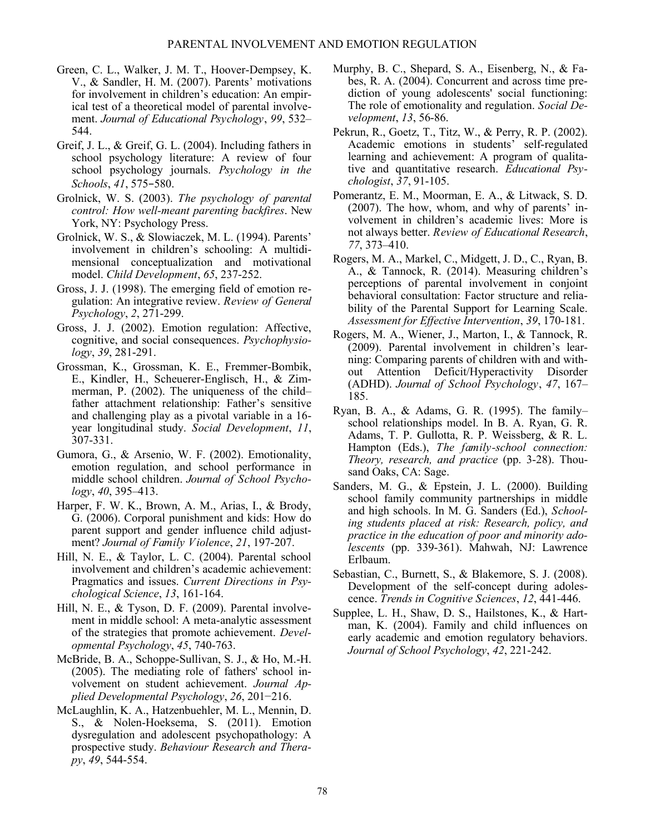- Green, C. L., Walker, J. M. T., Hoover-Dempsey, K. V., & Sandler, H. M. (2007). Parents' motivations for involvement in children's education: An empirical test of a theoretical model of parental involvement. *Journal of Educational Psychology*, *99*, 532– 544.
- Greif, J. L., & Greif, G. L. (2004). Including fathers in school psychology literature: A review of four school psychology journals. *Psychology in the Schools*, *41*, 575−580.
- Grolnick, W. S. (2003). *The psychology of parental control: How well-meant parenting backfires*. New York, NY: Psychology Press.
- Grolnick, W. S., & Slowiaczek, M. L. (1994). Parents' involvement in children's schooling: A multidimensional conceptualization and motivational model. *Child Development*, *65*, 237-252.
- Gross, J. J. (1998). The emerging field of emotion regulation: An integrative review. *Review of General Psychology*, *2*, 271-299.
- Gross, J. J. (2002). Emotion regulation: Affective, cognitive, and social consequences. *Psychophysiology*, *39*, 281-291.
- Grossman, K., Grossman, K. E., Fremmer-Bombik, E., Kindler, H., Scheuerer-Englisch, H., & Zimmerman, P. (2002). The uniqueness of the child– father attachment relationship: Father's sensitive and challenging play as a pivotal variable in a 16 year longitudinal study. *Social Development*, *11*, 307-331.
- Gumora, G., & Arsenio, W. F. (2002). Emotionality, emotion regulation, and school performance in middle school children. *Journal of School Psychology*, *40*, 395–413.
- Harper, F. W. K., Brown, A. M., Arias, I., & Brody, G. (2006). Corporal punishment and kids: How do parent support and gender influence child adjustment? *Journal of Family Violence*, *21*, 197-207.
- Hill, N. E., & Taylor, L. C. (2004). Parental school involvement and children's academic achievement: Pragmatics and issues. *Current Directions in Psychological Science*, *13*, 161-164.
- Hill, N. E., & Tyson, D. F. (2009). Parental involvement in middle school: A meta-analytic assessment of the strategies that promote achievement. *Developmental Psychology*, *45*, 740-763.
- McBride, B. A., Schoppe-Sullivan, S. J., & Ho, M.-H. (2005). The mediating role of fathers' school involvement on student achievement. *Journal Applied Developmental Psychology*, *26*, 201−216.
- McLaughlin, K. A., Hatzenbuehler, M. L., Mennin, D. S., & Nolen-Hoeksema, S. (2011). Emotion dysregulation and adolescent psychopathology: A prospective study. *Behaviour Research and Therapy*, *49*, 544-554.
- Murphy, B. C., Shepard, S. A., Eisenberg, N., & Fabes, R. A. (2004). Concurrent and across time prediction of young adolescents' social functioning: The role of emotionality and regulation. *Social Development*, *13*, 56-86.
- Pekrun, R., Goetz, T., Titz, W., & Perry, R. P. (2002). Academic emotions in students' self-regulated learning and achievement: A program of qualitative and quantitative research. *Educational Psychologist*, *37*, 91-105.
- Pomerantz, E. M., Moorman, E. A., & Litwack, S. D. (2007). The how, whom, and why of parents' involvement in children's academic lives: More is not always better. *Review of Educational Research*, *77*, 373–410.
- Rogers, M. A., Markel, C., Midgett, J. D., C., Ryan, B. A., & Tannock, R. (2014). Measuring children's perceptions of parental involvement in conjoint behavioral consultation: Factor structure and reliability of the Parental Support for Learning Scale. *Assessment for Effective Intervention*, *39*, 170-181.
- Rogers, M. A., Wiener, J., Marton, I., & Tannock, R. (2009). Parental involvement in children's learning: Comparing parents of children with and without Attention Deficit/Hyperactivity Disorder (ADHD). *Journal of School Psychology*, *47*, 167– 185.
- Ryan, B. A., & Adams, G. R. (1995). The family– school relationships model. In B. A. Ryan, G. R. Adams, T. P. Gullotta, R. P. Weissberg, & R. L. Hampton (Eds.), *The family-school connection: Theory, research, and practice* (pp. 3-28). Thousand Oaks, CA: Sage.
- Sanders, M. G., & Epstein, J. L. (2000). Building school family community partnerships in middle and high schools. In M. G. Sanders (Ed.), *Schooling students placed at risk: Research, policy, and practice in the education of poor and minority adolescents* (pp. 339-361). Mahwah, NJ: Lawrence Erlbaum.
- Sebastian, C., Burnett, S., & Blakemore, S. J. (2008). Development of the self-concept during adolescence. *Trends in Cognitive Sciences*, *12*, 441-446.
- Supplee, L. H., Shaw, D. S., Hailstones, K., & Hartman, K. (2004). Family and child influences on early academic and emotion regulatory behaviors. *Journal of School Psychology*, *42*, 221-242.